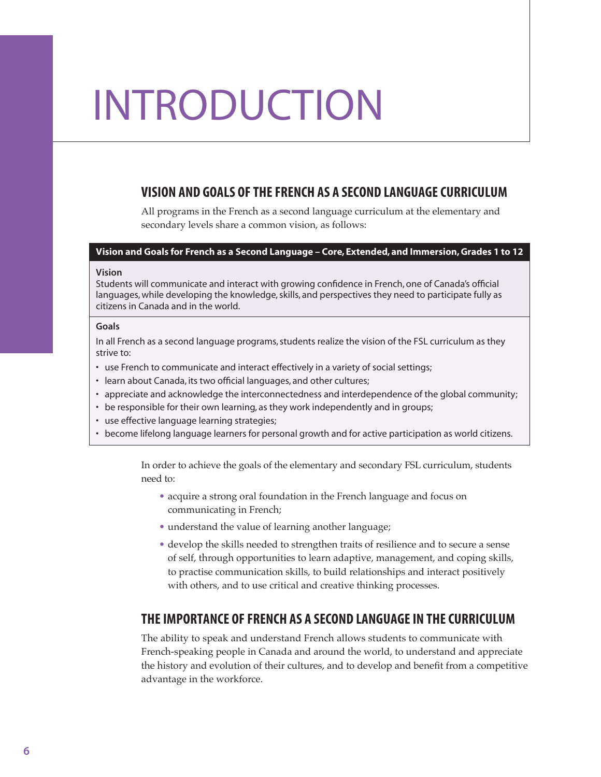# INTRODUCTION

# VISION AND GOALS OF THE FRENCH AS A SECOND LANGUAGE CURRICULUM

All programs in the French as a second language curriculum at the elementary and secondary levels share a common vision, as follows:

#### Vision and Goals for French as a Second Language – Core, Extended, and Immersion, Grades 1 to 12

#### Vision

Students will communicate and interact with growing confidence in French, one of Canada's official languages, while developing the knowledge, skills, and perspectives they need to participate fully as citizens in Canada and in the world.

#### Goals

In all French as a second language programs, students realize the vision of the FSL curriculum as they strive to:

- use French to communicate and interact effectively in a variety of social settings;
- learn about Canada, its two official languages, and other cultures;
- • appreciate and acknowledge the interconnectedness and interdependence of the global community;
- be responsible for their own learning, as they work independently and in groups;
- use effective language learning strategies;
- • become lifelong language learners for personal growth and for active participation as world citizens.

In order to achieve the goals of the elementary and secondary FSL curriculum, students need to:

- acquire a strong oral foundation in the French language and focus on communicating in French;
- understand the value of learning another language;
- develop the skills needed to strengthen traits of resilience and to secure a sense of self, through opportunities to learn adaptive, management, and coping skills, to practise communication skills, to build relationships and interact positively with others, and to use critical and creative thinking processes.

# THE IMPORTANCE OF FRENCH AS A SECOND LANGUAGE IN THE CURRICULUM

The ability to speak and understand French allows students to communicate with French-speaking people in Canada and around the world, to understand and appreciate the history and evolution of their cultures, and to develop and benefit from a competitive advantage in the workforce.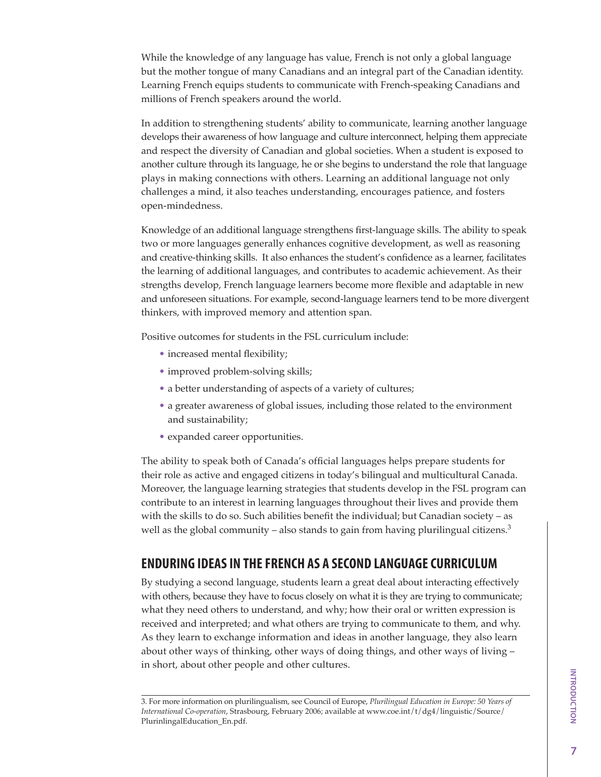While the knowledge of any language has value, French is not only a global language but the mother tongue of many Canadians and an integral part of the Canadian identity. Learning French equips students to communicate with French-speaking Canadians and millions of French speakers around the world.

In addition to strengthening students' ability to communicate, learning another language develops their awareness of how language and culture interconnect, helping them appreciate and respect the diversity of Canadian and global societies. When a student is exposed to another culture through its language, he or she begins to understand the role that language plays in making connections with others. Learning an additional language not only challenges a mind, it also teaches understanding, encourages patience, and fosters open-mindedness.

Knowledge of an additional language strengthens first-language skills. The ability to speak two or more languages generally enhances cognitive development, as well as reasoning and creative-thinking skills. It also enhances the student's confidence as a learner, facilitates the learning of additional languages, and contributes to academic achievement. As their strengths develop, French language learners become more flexible and adaptable in new and unforeseen situations. For example, second-language learners tend to be more divergent thinkers, with improved memory and attention span.

Positive outcomes for students in the FSL curriculum include:

- increased mental flexibility;
- improved problem-solving skills;
- a better understanding of aspects of a variety of cultures;
- a greater awareness of global issues, including those related to the environment and sustainability;
- expanded career opportunities.

The ability to speak both of Canada's official languages helps prepare students for their role as active and engaged citizens in today's bilingual and multicultural Canada. Moreover, the language learning strategies that students develop in the FSL program can contribute to an interest in learning languages throughout their lives and provide them with the skills to do so. Such abilities benefit the individual; but Canadian society – as well as the global community – also stands to gain from having plurilingual citizens. $3$ 

# ENDURING IDEAS IN THE FRENCH AS A SECOND LANGUAGE CURRICULUM

By studying a second language, students learn a great deal about interacting effectively with others, because they have to focus closely on what it is they are trying to communicate; what they need others to understand, and why; how their oral or written expression is received and interpreted; and what others are trying to communicate to them, and why. As they learn to exchange information and ideas in another language, they also learn about other ways of thinking, other ways of doing things, and other ways of living – in short, about other people and other cultures.

<sup>3.</sup> For more information on plurilingualism, see Council of Europe, *Plurilingual Education in Europe: 50 Years of International Co-operation*, Strasbourg, February 2006; available at [www.coe.int/t/dg4/linguistic/Source/](http://www.coe.int/t/dg4/linguistic/Source/PlurinlingalEducation_En.pdf) [PlurinlingalEducation\\_En.pdf](http://www.coe.int/t/dg4/linguistic/Source/PlurinlingalEducation_En.pdf).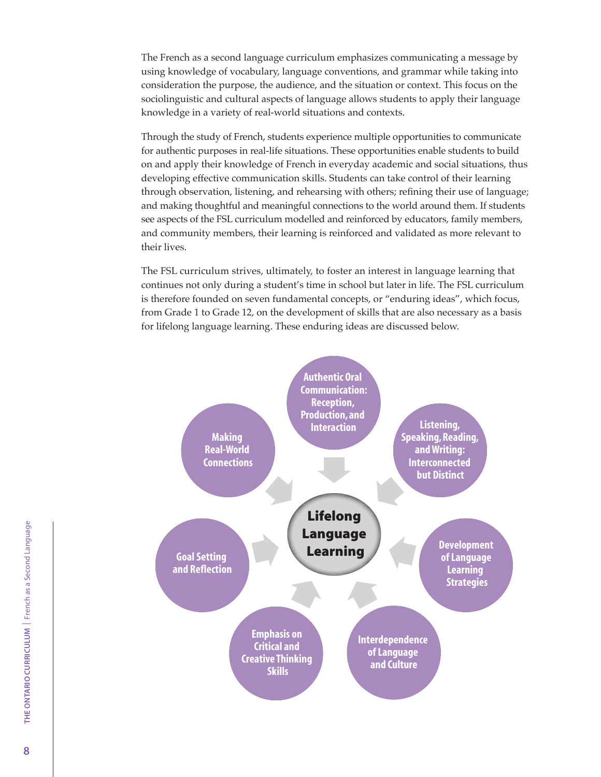The French as a second language curriculum emphasizes communicating a message by using knowledge of vocabulary, language conventions, and grammar while taking into consideration the purpose, the audience, and the situation or context. This focus on the sociolinguistic and cultural aspects of language allows students to apply their language knowledge in a variety of real-world situations and contexts.

Through the study of French, students experience multiple opportunities to communicate for authentic purposes in real-life situations. These opportunities enable students to build on and apply their knowledge of French in everyday academic and social situations, thus developing effective communication skills. Students can take control of their learning through observation, listening, and rehearsing with others; refining their use of language; and making thoughtful and meaningful connections to the world around them. If students see aspects of the FSL curriculum modelled and reinforced by educators, family members, and community members, their learning is reinforced and validated as more relevant to their lives.

The FSL curriculum strives, ultimately, to foster an interest in language learning that continues not only during a student's time in school but later in life. The FSL curriculum is therefore founded on seven fundamental concepts, or "enduring ideas", which focus, from Grade 1 to Grade 12, on the development of skills that are also necessary as a basis for lifelong language learning. These enduring ideas are discussed below.

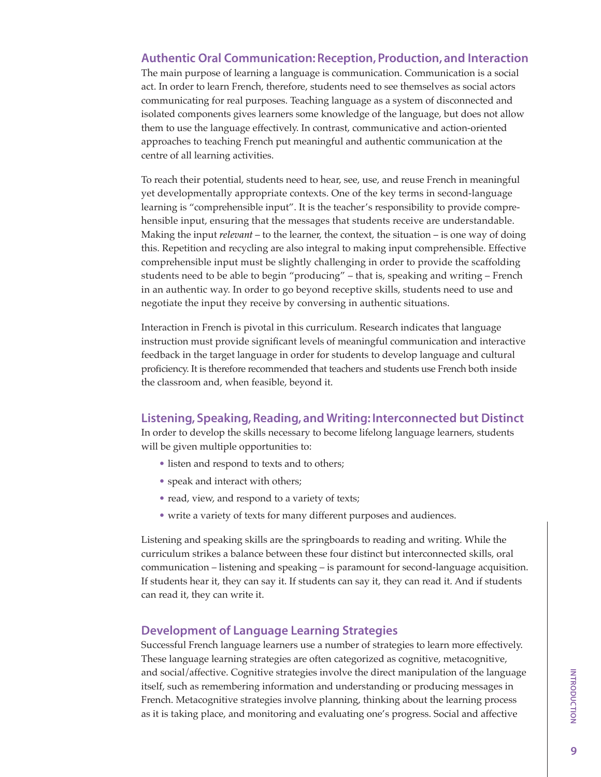# Authentic Oral Communication: Reception, Production, and Interaction

The main purpose of learning a language is communication. Communication is a social act. In order to learn French, therefore, students need to see themselves as social actors communicating for real purposes. Teaching language as a system of disconnected and isolated components gives learners some knowledge of the language, but does not allow them to use the language effectively. In contrast, communicative and action-oriented approaches to teaching French put meaningful and authentic communication at the centre of all learning activities.

To reach their potential, students need to hear, see, use, and reuse French in meaningful yet developmentally appropriate contexts. One of the key terms in second-language learning is "comprehensible input". It is the teacher's responsibility to provide comprehensible input, ensuring that the messages that students receive are understandable. Making the input *relevant* – to the learner, the context, the situation – is one way of doing this. Repetition and recycling are also integral to making input comprehensible. Effective comprehensible input must be slightly challenging in order to provide the scaffolding students need to be able to begin "producing" – that is, speaking and writing – French in an authentic way. In order to go beyond receptive skills, students need to use and negotiate the input they receive by conversing in authentic situations.

Interaction in French is pivotal in this curriculum. Research indicates that language instruction must provide significant levels of meaningful communication and interactive feedback in the target language in order for students to develop language and cultural proficiency. It is therefore recommended that teachers and students use French both inside the classroom and, when feasible, beyond it.

## Listening, Speaking, Reading, and Writing: Interconnected but Distinct

In order to develop the skills necessary to become lifelong language learners, students will be given multiple opportunities to:

- listen and respond to texts and to others;
- speak and interact with others;
- read, view, and respond to a variety of texts;
- write a variety of texts for many different purposes and audiences.

Listening and speaking skills are the springboards to reading and writing. While the curriculum strikes a balance between these four distinct but interconnected skills, oral communication – listening and speaking – is paramount for second-language acquisition. If students hear it, they can say it. If students can say it, they can read it. And if students can read it, they can write it.

# Development of Language Learning Strategies

Successful French language learners use a number of strategies to learn more effectively. These language learning strategies are often categorized as cognitive, metacognitive, and social/affective. Cognitive strategies involve the direct manipulation of the language itself, such as remembering information and understanding or producing messages in French. Metacognitive strategies involve planning, thinking about the learning process as it is taking place, and monitoring and evaluating one's progress. Social and affective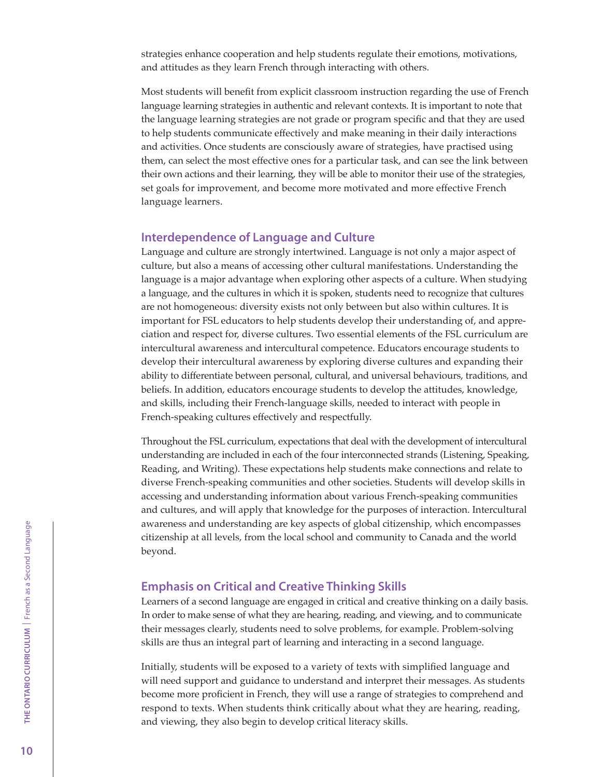strategies enhance cooperation and help students regulate their emotions, motivations, and attitudes as they learn French through interacting with others.

Most students will benefit from explicit classroom instruction regarding the use of French language learning strategies in authentic and relevant contexts. It is important to note that the language learning strategies are not grade or program specific and that they are used to help students communicate effectively and make meaning in their daily interactions and activities. Once students are consciously aware of strategies, have practised using them, can select the most effective ones for a particular task, and can see the link between their own actions and their learning, they will be able to monitor their use of the strategies, set goals for improvement, and become more motivated and more effective French language learners.

## Interdependence of Language and Culture

Language and culture are strongly intertwined. Language is not only a major aspect of culture, but also a means of accessing other cultural manifestations. Understanding the language is a major advantage when exploring other aspects of a culture. When studying a language, and the cultures in which it is spoken, students need to recognize that cultures are not homogeneous: diversity exists not only between but also within cultures. It is important for FSL educators to help students develop their understanding of, and appreciation and respect for, diverse cultures. Two essential elements of the FSL curriculum are intercultural awareness and intercultural competence. Educators encourage students to develop their intercultural awareness by exploring diverse cultures and expanding their ability to differentiate between personal, cultural, and universal behaviours, traditions, and beliefs. In addition, educators encourage students to develop the attitudes, knowledge, and skills, including their French-language skills, needed to interact with people in French-speaking cultures effectively and respectfully.

Throughout the FSL curriculum, expectations that deal with the development of intercultural understanding are included in each of the four interconnected strands (Listening, Speaking, Reading, and Writing). These expectations help students make connections and relate to diverse French-speaking communities and other societies. Students will develop skills in accessing and understanding information about various French-speaking communities and cultures, and will apply that knowledge for the purposes of interaction. Intercultural awareness and understanding are key aspects of global citizenship, which encompasses citizenship at all levels, from the local school and community to Canada and the world beyond.

#### Emphasis on Critical and Creative Thinking Skills

Learners of a second language are engaged in critical and creative thinking on a daily basis. In order to make sense of what they are hearing, reading, and viewing, and to communicate their messages clearly, students need to solve problems, for example. Problem-solving skills are thus an integral part of learning and interacting in a second language.

Initially, students will be exposed to a variety of texts with simplified language and will need support and guidance to understand and interpret their messages. As students become more proficient in French, they will use a range of strategies to comprehend and respond to texts. When students think critically about what they are hearing, reading, and viewing, they also begin to develop critical literacy skills.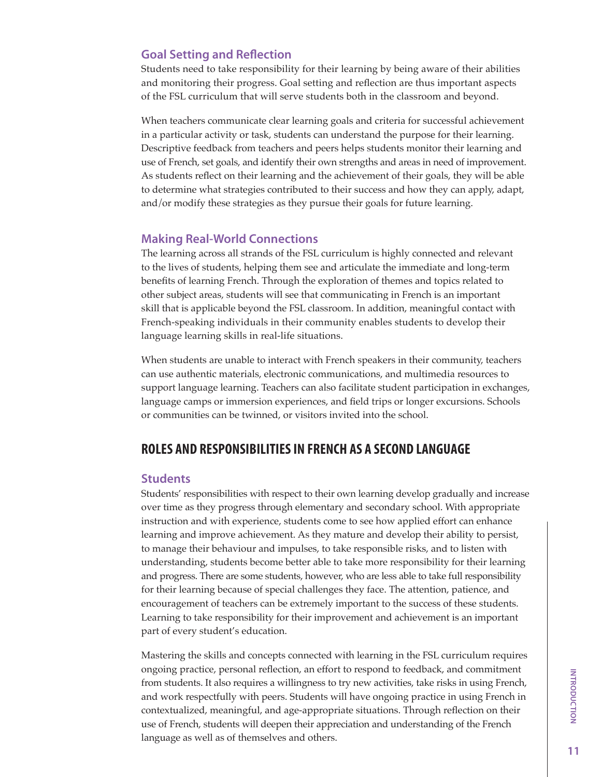# Goal Setting and Reflection

Students need to take responsibility for their learning by being aware of their abilities and monitoring their progress. Goal setting and reflection are thus important aspects of the FSL curriculum that will serve students both in the classroom and beyond.

When teachers communicate clear learning goals and criteria for successful achievement in a particular activity or task, students can understand the purpose for their learning. Descriptive feedback from teachers and peers helps students monitor their learning and use of French, set goals, and identify their own strengths and areas in need of improvement. As students reflect on their learning and the achievement of their goals, they will be able to determine what strategies contributed to their success and how they can apply, adapt, and/or modify these strategies as they pursue their goals for future learning.

## Making Real-World Connections

The learning across all strands of the FSL curriculum is highly connected and relevant to the lives of students, helping them see and articulate the immediate and long-term benefits of learning French. Through the exploration of themes and topics related to other subject areas, students will see that communicating in French is an important skill that is applicable beyond the FSL classroom. In addition, meaningful contact with French-speaking individuals in their community enables students to develop their language learning skills in real-life situations.

When students are unable to interact with French speakers in their community, teachers can use authentic materials, electronic communications, and multimedia resources to support language learning. Teachers can also facilitate student participation in exchanges, language camps or immersion experiences, and field trips or longer excursions. Schools or communities can be twinned, or visitors invited into the school.

# ROLES AND RESPONSIBILITIES IN FRENCH AS A SECOND LANGUAGE

### **Students**

Students' responsibilities with respect to their own learning develop gradually and increase over time as they progress through elementary and secondary school. With appropriate instruction and with experience, students come to see how applied effort can enhance learning and improve achievement. As they mature and develop their ability to persist, to manage their behaviour and impulses, to take responsible risks, and to listen with understanding, students become better able to take more responsibility for their learning and progress. There are some students, however, who are less able to take full responsibility for their learning because of special challenges they face. The attention, patience, and encouragement of teachers can be extremely important to the success of these students. Learning to take responsibility for their improvement and achievement is an important part of every student's education.

Mastering the skills and concepts connected with learning in the FSL curriculum requires ongoing practice, personal reflection, an effort to respond to feedback, and commitment from students. It also requires a willingness to try new activities, take risks in using French, and work respectfully with peers. Students will have ongoing practice in using French in contextualized, meaningful, and age-appropriate situations. Through reflection on their use of French, students will deepen their appreciation and understanding of the French language as well as of themselves and others.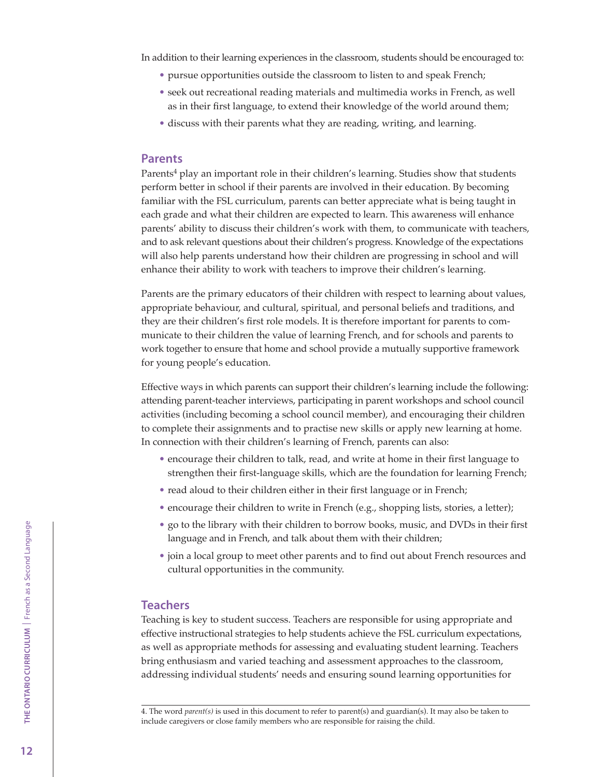In addition to their learning experiences in the classroom, students should be encouraged to:

- pursue opportunities outside the classroom to listen to and speak French;
- seek out recreational reading materials and multimedia works in French, as well as in their first language, to extend their knowledge of the world around them;
- discuss with their parents what they are reading, writing, and learning.

#### Parents

Parents<sup>4</sup> play an important role in their children's learning. Studies show that students perform better in school if their parents are involved in their education. By becoming familiar with the FSL curriculum, parents can better appreciate what is being taught in each grade and what their children are expected to learn. This awareness will enhance parents' ability to discuss their children's work with them, to communicate with teachers, and to ask relevant questions about their children's progress. Knowledge of the expectations will also help parents understand how their children are progressing in school and will enhance their ability to work with teachers to improve their children's learning.

Parents are the primary educators of their children with respect to learning about values, appropriate behaviour, and cultural, spiritual, and personal beliefs and traditions, and they are their children's first role models. It is therefore important for parents to communicate to their children the value of learning French, and for schools and parents to work together to ensure that home and school provide a mutually supportive framework for young people's education.

Effective ways in which parents can support their children's learning include the following: attending parent-teacher interviews, participating in parent workshops and school council activities (including becoming a school council member), and encouraging their children to complete their assignments and to practise new skills or apply new learning at home. In connection with their children's learning of French, parents can also:

- encourage their children to talk, read, and write at home in their first language to strengthen their first-language skills, which are the foundation for learning French;
- read aloud to their children either in their first language or in French;
- encourage their children to write in French (e.g., shopping lists, stories, a letter);
- go to the library with their children to borrow books, music, and DVDs in their first language and in French, and talk about them with their children;
- join a local group to meet other parents and to find out about French resources and cultural opportunities in the community.

## **Teachers**

Teaching is key to student success. Teachers are responsible for using appropriate and effective instructional strategies to help students achieve the FSL curriculum expectations, as well as appropriate methods for assessing and evaluating student learning. Teachers bring enthusiasm and varied teaching and assessment approaches to the classroom, addressing individual students' needs and ensuring sound learning opportunities for

<sup>4.</sup> The word *parent(s)* is used in this document to refer to parent(s) and guardian(s). It may also be taken to include caregivers or close family members who are responsible for raising the child.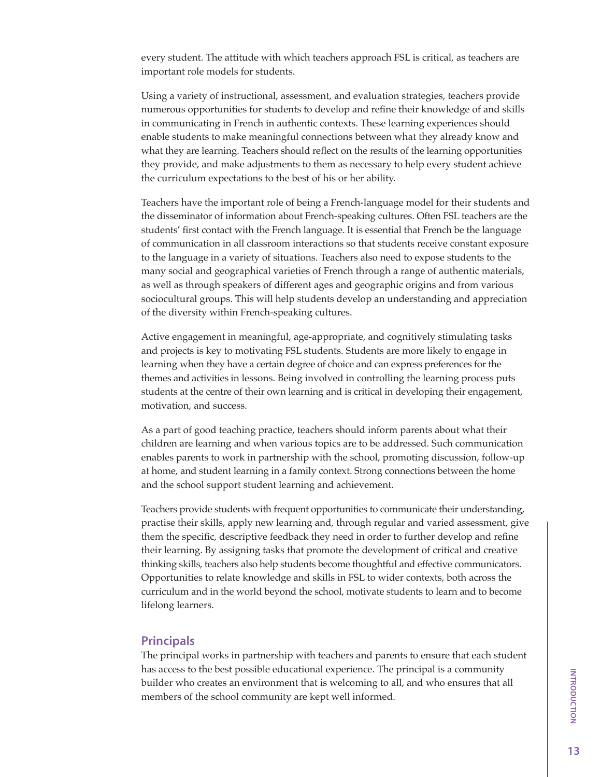every student. The attitude with which teachers approach FSL is critical, as teachers are important role models for students.

Using a variety of instructional, assessment, and evaluation strategies, teachers provide numerous opportunities for students to develop and refine their knowledge of and skills in communicating in French in authentic contexts. These learning experiences should enable students to make meaningful connections between what they already know and what they are learning. Teachers should reflect on the results of the learning opportunities they provide, and make adjustments to them as necessary to help every student achieve the curriculum expectations to the best of his or her ability.

Teachers have the important role of being a French-language model for their students and the disseminator of information about French-speaking cultures. Often FSL teachers are the students' first contact with the French language. It is essential that French be the language of communication in all classroom interactions so that students receive constant exposure to the language in a variety of situations. Teachers also need to expose students to the many social and geographical varieties of French through a range of authentic materials, as well as through speakers of different ages and geographic origins and from various sociocultural groups. This will help students develop an understanding and appreciation of the diversity within French-speaking cultures.

Active engagement in meaningful, age-appropriate, and cognitively stimulating tasks and projects is key to motivating FSL students. Students are more likely to engage in learning when they have a certain degree of choice and can express preferences for the themes and activities in lessons. Being involved in controlling the learning process puts students at the centre of their own learning and is critical in developing their engagement, motivation, and success.

As a part of good teaching practice, teachers should inform parents about what their children are learning and when various topics are to be addressed. Such communication enables parents to work in partnership with the school, promoting discussion, follow-up at home, and student learning in a family context. Strong connections between the home and the school support student learning and achievement.

Teachers provide students with frequent opportunities to communicate their understanding, practise their skills, apply new learning and, through regular and varied assessment, give them the specific, descriptive feedback they need in order to further develop and refine their learning. By assigning tasks that promote the development of critical and creative thinking skills, teachers also help students become thoughtful and effective communicators. Opportunities to relate knowledge and skills in FSL to wider contexts, both across the curriculum and in the world beyond the school, motivate students to learn and to become lifelong learners.

### Principals

The principal works in partnership with teachers and parents to ensure that each student has access to the best possible educational experience. The principal is a community builder who creates an environment that is welcoming to all, and who ensures that all members of the school community are kept well informed.